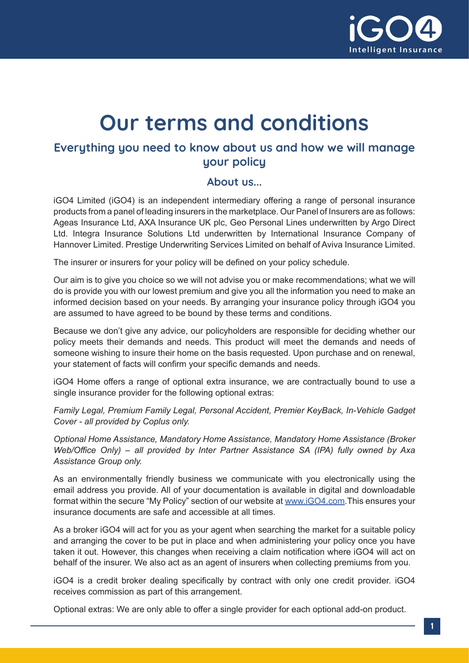

# **Our terms and conditions**

# **Everything you need to know about us and how we will manage your policy**

#### **About us...**

iGO4 Limited (iGO4) is an independent intermediary offering a range of personal insurance products from a panel of leading insurers in the marketplace. Our Panel of Insurers are as follows: Ageas Insurance Ltd, AXA Insurance UK plc, Geo Personal Lines underwritten by Argo Direct Ltd. Integra Insurance Solutions Ltd underwritten by International Insurance Company of Hannover Limited. Prestige Underwriting Services Limited on behalf of Aviva Insurance Limited.

The insurer or insurers for your policy will be defined on your policy schedule.

Our aim is to give you choice so we will not advise you or make recommendations; what we will do is provide you with our lowest premium and give you all the information you need to make an informed decision based on your needs. By arranging your insurance policy through iGO4 you are assumed to have agreed to be bound by these terms and conditions.

Because we don't give any advice, our policyholders are responsible for deciding whether our policy meets their demands and needs. This product will meet the demands and needs of someone wishing to insure their home on the basis requested. Upon purchase and on renewal, your statement of facts will confirm your specific demands and needs.

iGO4 Home offers a range of optional extra insurance, we are contractually bound to use a single insurance provider for the following optional extras:

*Family Legal, Premium Family Legal, Personal Accident, Premier KeyBack, In-Vehicle Gadget Cover - all provided by Coplus only.*

*Optional Home Assistance, Mandatory Home Assistance, Mandatory Home Assistance (Broker Web/Office Only) – all provided by Inter Partner Assistance SA (IPA) fully owned by Axa Assistance Group only.*

As an environmentally friendly business we communicate with you electronically using the email address you provide. All of your documentation is available in digital and downloadable format within the secure "My Policy" section of our website at [www.iGO4.com.](http://www.iGO4.com)This ensures your insurance documents are safe and accessible at all times.

As a broker iGO4 will act for you as your agent when searching the market for a suitable policy and arranging the cover to be put in place and when administering your policy once you have taken it out. However, this changes when receiving a claim notification where iGO4 will act on behalf of the insurer. We also act as an agent of insurers when collecting premiums from you.

iGO4 is a credit broker dealing specifically by contract with only one credit provider. iGO4 receives commission as part of this arrangement.

Optional extras: We are only able to offer a single provider for each optional add-on product.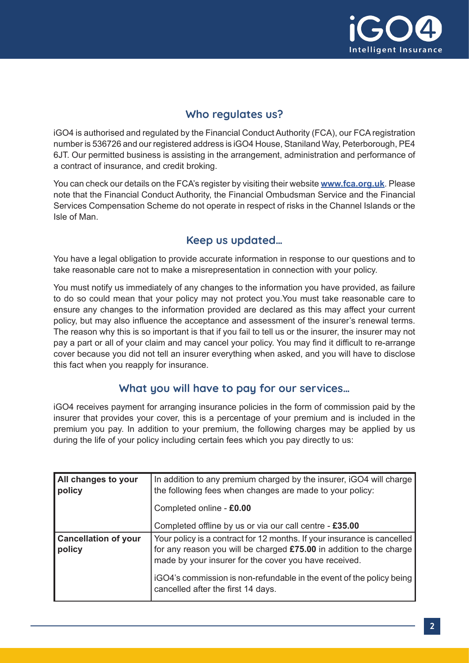

# **Who regulates us?**

iGO4 is authorised and regulated by the Financial Conduct Authority (FCA), our FCA registration number is 536726 and our registered address is iGO4 House, Staniland Way, Peterborough, PE4 6JT. Our permitted business is assisting in the arrangement, administration and performance of a contract of insurance, and credit broking.

You can check our details on the FCA's register by visiting their website **[www.fca.org.uk](http://www.fca.org.uk)**. Please note that the Financial Conduct Authority, the Financial Ombudsman Service and the Financial Services Compensation Scheme do not operate in respect of risks in the Channel Islands or the Isle of Man.

## **Keep us updated…**

You have a legal obligation to provide accurate information in response to our questions and to take reasonable care not to make a misrepresentation in connection with your policy.

You must notify us immediately of any changes to the information you have provided, as failure to do so could mean that your policy may not protect you.You must take reasonable care to ensure any changes to the information provided are declared as this may affect your current policy, but may also influence the acceptance and assessment of the insurer's renewal terms. The reason why this is so important is that if you fail to tell us or the insurer, the insurer may not pay a part or all of your claim and may cancel your policy. You may find it difficult to re-arrange cover because you did not tell an insurer everything when asked, and you will have to disclose this fact when you reapply for insurance.

### **What you will have to pay for our services…**

iGO4 receives payment for arranging insurance policies in the form of commission paid by the insurer that provides your cover, this is a percentage of your premium and is included in the premium you pay. In addition to your premium, the following charges may be applied by us during the life of your policy including certain fees which you pay directly to us:

| All changes to your<br>policy         | In addition to any premium charged by the insurer, iGO4 will charge<br>the following fees when changes are made to your policy:                                                                         |
|---------------------------------------|---------------------------------------------------------------------------------------------------------------------------------------------------------------------------------------------------------|
|                                       | Completed online - £0.00                                                                                                                                                                                |
|                                       | Completed offline by us or via our call centre - £35.00                                                                                                                                                 |
| <b>Cancellation of your</b><br>policy | Your policy is a contract for 12 months. If your insurance is cancelled<br>for any reason you will be charged £75.00 in addition to the charge<br>made by your insurer for the cover you have received. |
|                                       | iGO4's commission is non-refundable in the event of the policy being<br>cancelled after the first 14 days.                                                                                              |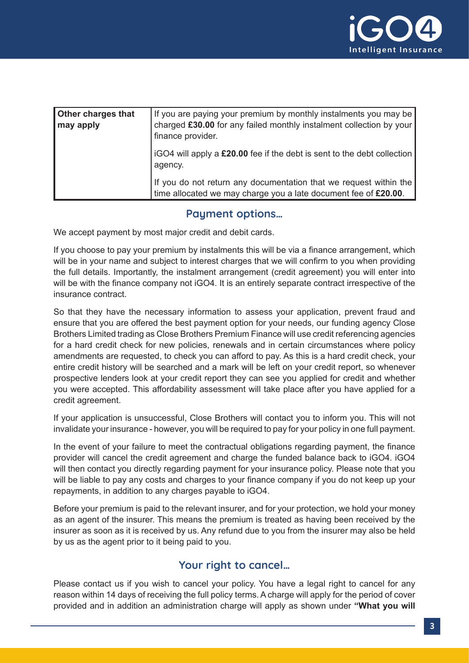

| <b>Other charges that</b><br>may apply | If you are paying your premium by monthly instalments you may be<br>charged £30.00 for any failed monthly instalment collection by your<br>finance provider. |
|----------------------------------------|--------------------------------------------------------------------------------------------------------------------------------------------------------------|
|                                        | iGO4 will apply a £20.00 fee if the debt is sent to the debt collection<br>agency.                                                                           |
|                                        | If you do not return any documentation that we request within the<br>time allocated we may charge you a late document fee of £20.00.                         |

### **Payment options…**

We accept payment by most major credit and debit cards.

If you choose to pay your premium by instalments this will be via a finance arrangement, which will be in your name and subject to interest charges that we will confirm to you when providing the full details. Importantly, the instalment arrangement (credit agreement) you will enter into will be with the finance company not iGO4. It is an entirely separate contract irrespective of the insurance contract.

So that they have the necessary information to assess your application, prevent fraud and ensure that you are offered the best payment option for your needs, our funding agency Close Brothers Limited trading as Close Brothers Premium Finance will use credit referencing agencies for a hard credit check for new policies, renewals and in certain circumstances where policy amendments are requested, to check you can afford to pay. As this is a hard credit check, your entire credit history will be searched and a mark will be left on your credit report, so whenever prospective lenders look at your credit report they can see you applied for credit and whether you were accepted. This affordability assessment will take place after you have applied for a credit agreement.

If your application is unsuccessful, Close Brothers will contact you to inform you. This will not invalidate your insurance - however, you will be required to pay for your policy in one full payment.

In the event of your failure to meet the contractual obligations regarding payment, the finance provider will cancel the credit agreement and charge the funded balance back to iGO4. iGO4 will then contact you directly regarding payment for your insurance policy. Please note that you will be liable to pay any costs and charges to your finance company if you do not keep up your repayments, in addition to any charges payable to iGO4.

Before your premium is paid to the relevant insurer, and for your protection, we hold your money as an agent of the insurer. This means the premium is treated as having been received by the insurer as soon as it is received by us. Any refund due to you from the insurer may also be held by us as the agent prior to it being paid to you.

### **Your right to cancel…**

Please contact us if you wish to cancel your policy. You have a legal right to cancel for any reason within 14 days of receiving the full policy terms. A charge will apply for the period of cover provided and in addition an administration charge will apply as shown under **"What you will**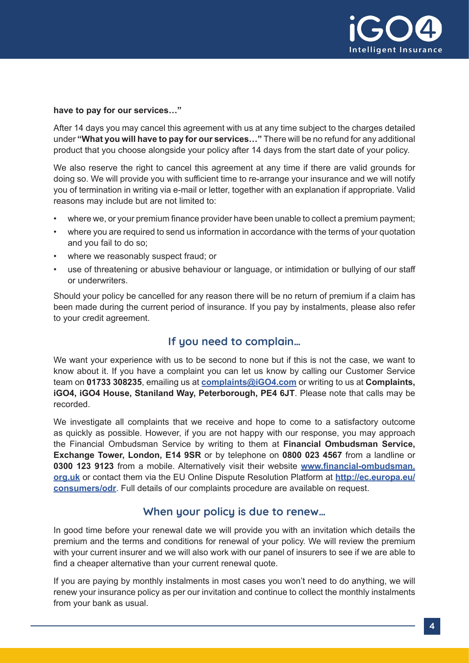

#### **have to pay for our services…"**

After 14 days you may cancel this agreement with us at any time subject to the charges detailed under **"What you will have to pay for our services…"** There will be no refund for any additional product that you choose alongside your policy after 14 days from the start date of your policy.

We also reserve the right to cancel this agreement at any time if there are valid grounds for doing so. We will provide you with sufficient time to re-arrange your insurance and we will notify you of termination in writing via e-mail or letter, together with an explanation if appropriate. Valid reasons may include but are not limited to:

- where we, or your premium finance provider have been unable to collect a premium payment;
- where you are required to send us information in accordance with the terms of your quotation and you fail to do so;
- where we reasonably suspect fraud; or
- use of threatening or abusive behaviour or language, or intimidation or bullying of our staff or underwriters.

Should your policy be cancelled for any reason there will be no return of premium if a claim has been made during the current period of insurance. If you pay by instalments, please also refer to your credit agreement.

# **If you need to complain…**

We want your experience with us to be second to none but if this is not the case, we want to know about it. If you have a complaint you can let us know by calling our Customer Service team on **01733 308235**, emailing us at **[complaints@iGO4.com](http://complaints@iGO4.com)** or writing to us at **Complaints, iGO4, iGO4 House, Staniland Way, Peterborough, PE4 6JT**. Please note that calls may be recorded.

We investigate all complaints that we receive and hope to come to a satisfactory outcome as quickly as possible. However, if you are not happy with our response, you may approach the Financial Ombudsman Service by writing to them at **Financial Ombudsman Service, Exchange Tower, London, E14 9SR** or by telephone on **0800 023 4567** from a landline or **0300 123 9123** from a mobile. Alternatively visit their website **[www.financial-ombudsman.](http://www.financial-ombudsman.org.uk) [org.uk](http://www.financial-ombudsman.org.uk)** or contact them via the EU Online Dispute Resolution Platform at **[http://ec.europa.eu/](http://ec.europa.eu/consumers/odr) [consumers/odr](http://ec.europa.eu/consumers/odr)**. Full details of our complaints procedure are available on request.

#### **When your policy is due to renew…**

In good time before your renewal date we will provide you with an invitation which details the premium and the terms and conditions for renewal of your policy. We will review the premium with your current insurer and we will also work with our panel of insurers to see if we are able to find a cheaper alternative than your current renewal quote.

If you are paying by monthly instalments in most cases you won't need to do anything, we will renew your insurance policy as per our invitation and continue to collect the monthly instalments from your bank as usual.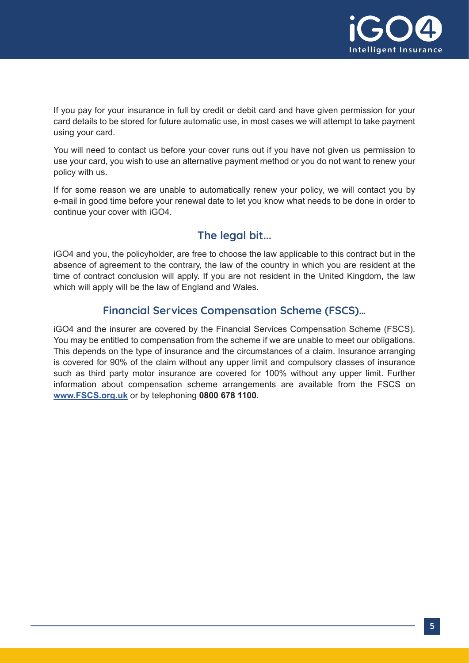

If you pay for your insurance in full by credit or debit card and have given permission for your card details to be stored for future automatic use, in most cases we will attempt to take payment using your card.

You will need to contact us before your cover runs out if you have not given us permission to use your card, you wish to use an alternative payment method or you do not want to renew your policy with us.

If for some reason we are unable to automatically renew your policy, we will contact you by e-mail in good time before your renewal date to let you know what needs to be done in order to continue your cover with iGO4.

# **The legal bit...**

iGO4 and you, the policyholder, are free to choose the law applicable to this contract but in the absence of agreement to the contrary, the law of the country in which you are resident at the time of contract conclusion will apply. If you are not resident in the United Kingdom, the law which will apply will be the law of England and Wales.

# **Financial Services Compensation Scheme (FSCS)…**

iGO4 and the insurer are covered by the Financial Services Compensation Scheme (FSCS). You may be entitled to compensation from the scheme if we are unable to meet our obligations. This depends on the type of insurance and the circumstances of a claim. Insurance arranging is covered for 90% of the claim without any upper limit and compulsory classes of insurance such as third party motor insurance are covered for 100% without any upper limit. Further information about compensation scheme arrangements are available from the FSCS on **[www.FSCS.org.uk](http://www.FSCS.org.uk)** or by telephoning **0800 678 1100**.